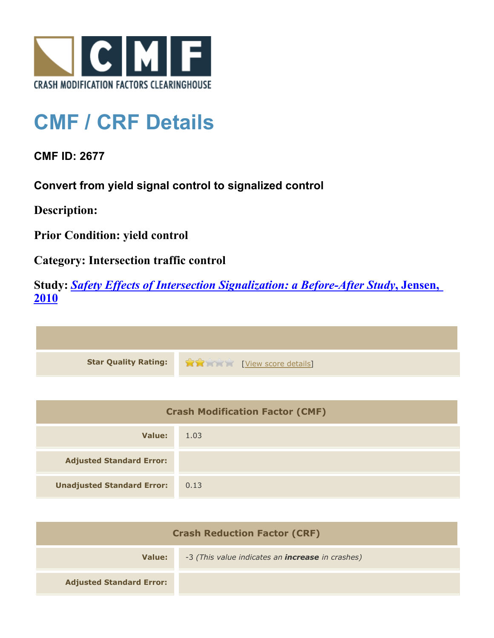

## **CMF / CRF Details**

**CMF ID: 2677**

**Convert from yield signal control to signalized control**

**Description:** 

**Prior Condition: yield control**

**Category: Intersection traffic control**

**Study:** *[Safety Effects of Intersection Signalization: a Before-After Study](http://www.cmfclearinghouse.org/study_detail.cfm?stid=170)***[, Jensen,](http://www.cmfclearinghouse.org/study_detail.cfm?stid=170) [2010](http://www.cmfclearinghouse.org/study_detail.cfm?stid=170)**



| <b>Crash Modification Factor (CMF)</b> |      |
|----------------------------------------|------|
| Value:                                 | 1.03 |
| <b>Adjusted Standard Error:</b>        |      |
| <b>Unadjusted Standard Error:</b>      | 0.13 |

| <b>Crash Reduction Factor (CRF)</b> |                                                         |
|-------------------------------------|---------------------------------------------------------|
| Value:                              | -3 (This value indicates an <b>increase</b> in crashes) |
| <b>Adjusted Standard Error:</b>     |                                                         |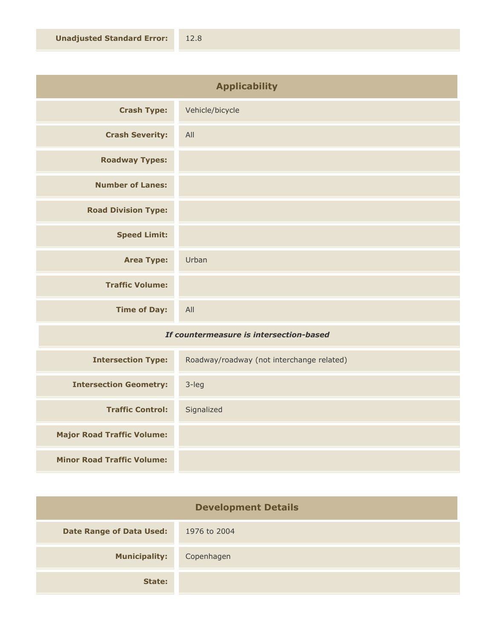| <b>Applicability</b>       |                 |
|----------------------------|-----------------|
| <b>Crash Type:</b>         | Vehicle/bicycle |
| <b>Crash Severity:</b>     | All             |
| <b>Roadway Types:</b>      |                 |
| <b>Number of Lanes:</b>    |                 |
| <b>Road Division Type:</b> |                 |
| <b>Speed Limit:</b>        |                 |
| <b>Area Type:</b>          | Urban           |
| <b>Traffic Volume:</b>     |                 |
| <b>Time of Day:</b>        | All             |

## *If countermeasure is intersection-based*

| <b>Intersection Type:</b>         | Roadway/roadway (not interchange related) |
|-----------------------------------|-------------------------------------------|
| <b>Intersection Geometry:</b>     | $3$ -leg                                  |
| <b>Traffic Control:</b>           | Signalized                                |
| <b>Major Road Traffic Volume:</b> |                                           |
| <b>Minor Road Traffic Volume:</b> |                                           |

| <b>Development Details</b>      |              |
|---------------------------------|--------------|
| <b>Date Range of Data Used:</b> | 1976 to 2004 |
| <b>Municipality:</b>            | Copenhagen   |
| State:                          |              |